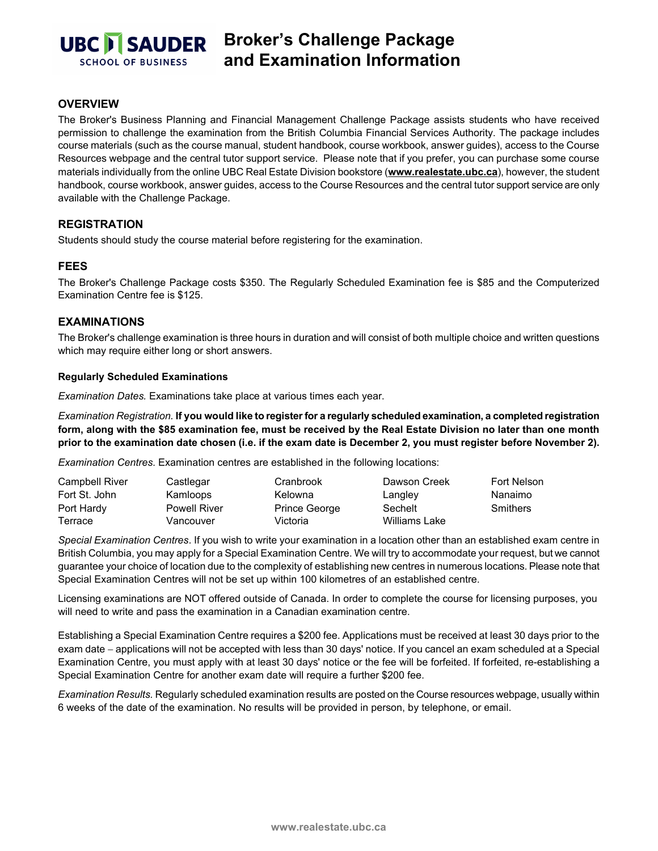

# **Broker's Challenge Package and Examination Information**

### **OVERVIEW**

The Broker's Business Planning and Financial Management Challenge Package assists students who have received permission to challenge the examination from the British Columbia Financial Services Authority. The package includes course materials (such as the course manual, student handbook, course workbook, answer guides), access to the Course Resources webpage and the central tutor support service. Please note that if you prefer, you can purchase some course materials individually from the online UBC Real Estate Division bookstore (**[www.realestate.ubc.ca](https://secure.sauder.ubc.ca/re_licensing/BookstoreWPG/)**), however, the student handbook, course workbook, answer guides, access to the Course Resources and the central tutor support service are only available with the Challenge Package.

## **REGISTRATION**

Students should study the course material before registering for the examination.

#### **FEES**

The Broker's Challenge Package costs \$350. The Regularly Scheduled Examination fee is \$85 and the Computerized Examination Centre fee is \$125.

#### **EXAMINATIONS**

The Broker's challenge examination is three hours in duration and will consist of both multiple choice and written questions which may require either long or short answers.

#### **Regularly Scheduled Examinations**

*Examination Dates.* Examinations take place at various times each year.

*Examination Registration.* **If you would like to register for a regularly scheduled examination, a completed registration form, along with the \$85 examination fee, must be received by the Real Estate Division no later than one month prior to the examination date chosen (i.e. if the exam date is December 2, you must register before November 2).**

*Examination Centres*. Examination centres are established in the following locations:

| <b>Campbell River</b> | Castlegar           | Cranbrook     | Dawson Creek  | Fort Nelson     |
|-----------------------|---------------------|---------------|---------------|-----------------|
| Fort St. John         | Kamloops            | Kelowna       | Langley       | Nanaimo         |
| Port Hardy            | <b>Powell River</b> | Prince George | Sechelt       | <b>Smithers</b> |
| Terrace               | Vancouver           | Victoria      | Williams Lake |                 |

*Special Examination Centres*. If you wish to write your examination in a location other than an established exam centre in British Columbia, you may apply for a Special Examination Centre. We will try to accommodate your request, but we cannot guarantee your choice of location due to the complexity of establishing new centres in numerous locations. Please note that Special Examination Centres will not be set up within 100 kilometres of an established centre.

Licensing examinations are NOT offered outside of Canada. In order to complete the course for licensing purposes, you will need to write and pass the examination in a Canadian examination centre.

Establishing a Special Examination Centre requires a \$200 fee. Applications must be received at least 30 days prior to the exam date − applications will not be accepted with less than 30 days' notice. If you cancel an exam scheduled at a Special Examination Centre, you must apply with at least 30 days' notice or the fee will be forfeited. If forfeited, re-establishing a Special Examination Centre for another exam date will require a further \$200 fee.

*Examination Results.* Regularly scheduled examination results are posted on the Course resources webpage, usually within 6 weeks of the date of the examination. No results will be provided in person, by telephone, or email.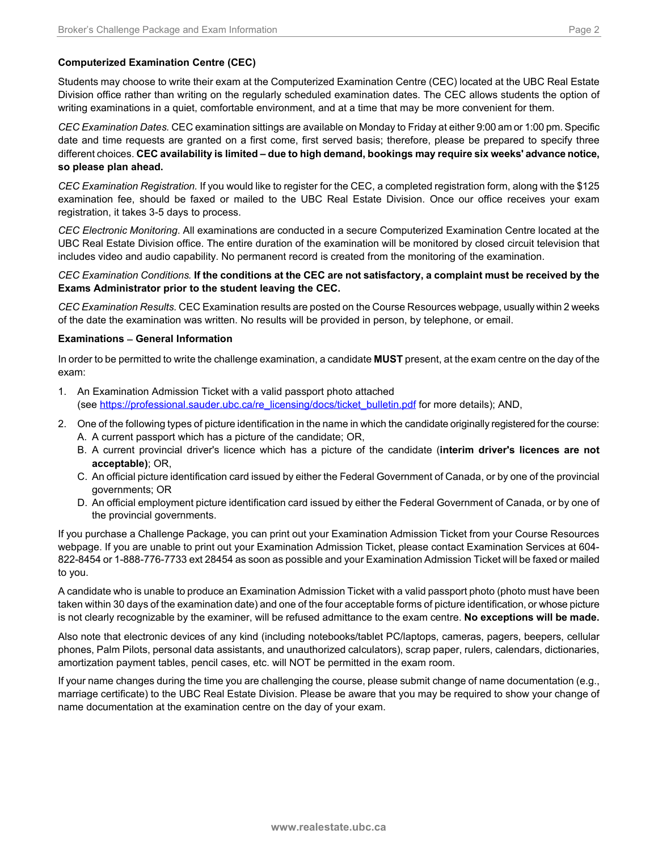Students may choose to write their exam at the Computerized Examination Centre (CEC) located at the UBC Real Estate Division office rather than writing on the regularly scheduled examination dates. The CEC allows students the option of writing examinations in a quiet, comfortable environment, and at a time that may be more convenient for them.

*CEC Examination Dates.* CEC examination sittings are available on Monday to Friday at either 9:00 am or 1:00 pm. Specific date and time requests are granted on a first come, first served basis; therefore, please be prepared to specify three different choices. **CEC availability is limited – due to high demand, bookings may require six weeks' advance notice, so please plan ahead.**

*CEC Examination Registration.* If you would like to register for the CEC, a completed registration form, along with the \$125 examination fee, should be faxed or mailed to the UBC Real Estate Division. Once our office receives your exam registration, it takes 3-5 days to process.

*CEC Electronic Monitoring*. All examinations are conducted in a secure Computerized Examination Centre located at the UBC Real Estate Division office. The entire duration of the examination will be monitored by closed circuit television that includes video and audio capability. No permanent record is created from the monitoring of the examination.

#### *CEC Examination Conditions.* **If the conditions at the CEC are not satisfactory, a complaint must be received by the Exams Administrator prior to the student leaving the CEC.**

*CEC Examination Results.* CEC Examination results are posted on the Course Resources webpage, usually within 2 weeks of the date the examination was written. No results will be provided in person, by telephone, or email.

#### **Examinations** − **General Information**

In order to be permitted to write the challenge examination, a candidate **MUST** present, at the exam centre on the day of the exam:

- 1. An Examination Admission Ticket with a valid passport photo attached (see [https://professional.sauder.ubc.ca/re\\_licensing/docs/ticket\\_bulletin.pdf](https://professional.sauder.ubc.ca/re_licensing/docs/ticket_bulletin.pdf) for more details); AND,
- 2. One of the following types of picture identification in the name in which the candidate originally registered for the course: A. A current passport which has a picture of the candidate; OR,
	- B. A current provincial driver's licence which has a picture of the candidate (**interim driver's licences are not acceptable)**; OR,
	- C. An official picture identification card issued by either the Federal Government of Canada, or by one of the provincial governments; OR
	- D. An official employment picture identification card issued by either the Federal Government of Canada, or by one of the provincial governments.

If you purchase a Challenge Package, you can print out your Examination Admission Ticket from your Course Resources webpage. If you are unable to print out your Examination Admission Ticket, please contact Examination Services at 604- 822-8454 or 1-888-776-7733 ext 28454 as soon as possible and your Examination Admission Ticket will be faxed or mailed to you.

A candidate who is unable to produce an Examination Admission Ticket with a valid passport photo (photo must have been taken within 30 days of the examination date) and one of the four acceptable forms of picture identification, or whose picture is not clearly recognizable by the examiner, will be refused admittance to the exam centre. **No exceptions will be made.**

Also note that electronic devices of any kind (including notebooks/tablet PC/laptops, cameras, pagers, beepers, cellular phones, Palm Pilots, personal data assistants, and unauthorized calculators), scrap paper, rulers, calendars, dictionaries, amortization payment tables, pencil cases, etc. will NOT be permitted in the exam room.

If your name changes during the time you are challenging the course, please submit change of name documentation (e.g., marriage certificate) to the UBC Real Estate Division. Please be aware that you may be required to show your change of name documentation at the examination centre on the day of your exam.